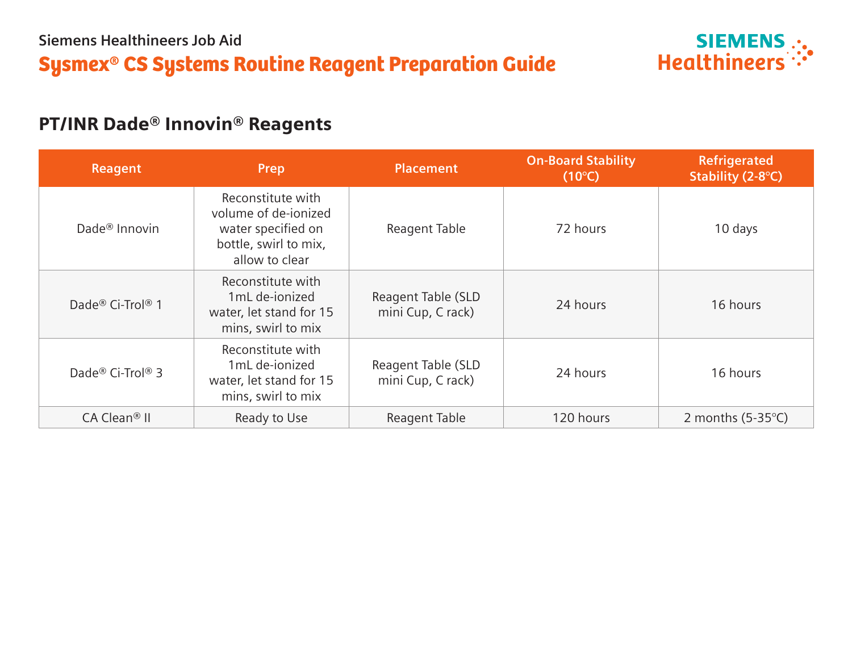

# PT/INR Dade® Innovin® Reagents

| Reagent                    | Prep                                                                                                       | <b>Placement</b>                        | <b>On-Board Stability</b><br>$(10^{\circ}C)$ | Refrigerated<br>Stability (2-8°C) |
|----------------------------|------------------------------------------------------------------------------------------------------------|-----------------------------------------|----------------------------------------------|-----------------------------------|
| Dade <sup>®</sup> Innovin  | Reconstitute with<br>volume of de-jonized<br>water specified on<br>bottle, swirl to mix,<br>allow to clear | Reagent Table                           | 72 hours                                     | 10 days                           |
| Dade® Ci-Trol® 1           | Reconstitute with<br>1mL de-ionized<br>water, let stand for 15<br>mins, swirl to mix                       | Reagent Table (SLD<br>mini Cup, C rack) | 24 hours                                     | 16 hours                          |
| Dade® Ci-Trol® 3           | Reconstitute with<br>1mL de-ionized<br>water, let stand for 15<br>mins, swirl to mix                       | Reagent Table (SLD<br>mini Cup, C rack) | 24 hours                                     | 16 hours                          |
| $CA$ Clean <sup>®</sup> II | Ready to Use                                                                                               | Reagent Table                           | 120 hours                                    | 2 months $(5-35^{\circ}C)$        |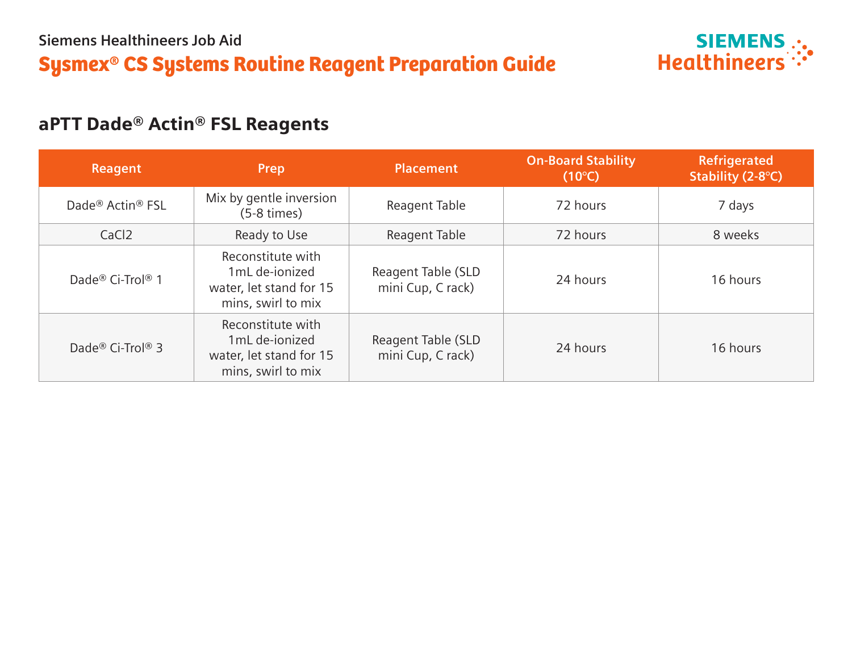

# aPTT Dade® Actin® FSL Reagents

| Reagent                                  | Prep                                                                                 | <b>Placement</b>                        | <b>On-Board Stability</b><br>$(10^{\circ}C)$ | <b>Refrigerated</b><br>Stability (2-8°C) |  |
|------------------------------------------|--------------------------------------------------------------------------------------|-----------------------------------------|----------------------------------------------|------------------------------------------|--|
| Dade <sup>®</sup> Actin <sup>®</sup> FSL | Mix by gentle inversion<br>$(5-8 \times)$                                            | Reagent Table                           | 72 hours                                     | 7 days                                   |  |
| CaCl <sub>2</sub>                        | Ready to Use                                                                         | Reagent Table                           | 72 hours                                     | 8 weeks                                  |  |
| Dade® Ci-Trol® 1                         | Reconstitute with<br>1mL de-ionized<br>water, let stand for 15<br>mins, swirl to mix | Reagent Table (SLD<br>mini Cup, C rack) | 24 hours                                     | 16 hours                                 |  |
| Dade <sup>®</sup> Ci-Trol <sup>®</sup> 3 | Reconstitute with<br>1mL de-ionized<br>water, let stand for 15<br>mins, swirl to mix | Reagent Table (SLD<br>mini Cup, C rack) | 24 hours                                     | 16 hours                                 |  |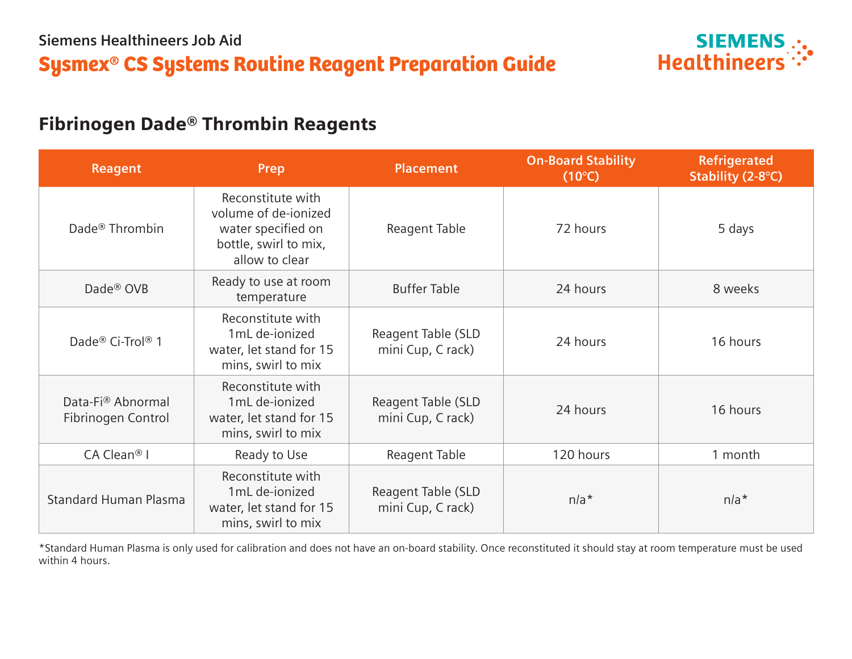

# Fibrinogen Dade® Thrombin Reagents

| <b>Reagent</b>                          | Prep                                                                                                       | <b>Placement</b>                        | <b>On-Board Stability</b><br>$(10^{\circ}C)$ |          |
|-----------------------------------------|------------------------------------------------------------------------------------------------------------|-----------------------------------------|----------------------------------------------|----------|
| Dade <sup>®</sup> Thrombin              | Reconstitute with<br>volume of de-jonized<br>water specified on<br>bottle, swirl to mix,<br>allow to clear | Reagent Table                           | 72 hours                                     | 5 days   |
| Dade <sup>®</sup> OVB                   | Ready to use at room<br>temperature                                                                        | <b>Buffer Table</b>                     | 24 hours                                     | 8 weeks  |
| Dade® Ci-Trol® 1                        | Reconstitute with<br>1mL de-ionized<br>water, let stand for 15<br>mins, swirl to mix                       | Reagent Table (SLD<br>mini Cup, C rack) | 24 hours                                     | 16 hours |
| Data-Fi® Abnormal<br>Fibrinogen Control | Reconstitute with<br>1mL de-ionized<br>water, let stand for 15<br>mins, swirl to mix                       | Reagent Table (SLD<br>mini Cup, C rack) | 24 hours                                     | 16 hours |
| CA Clean <sup>®</sup> I                 | Ready to Use                                                                                               | Reagent Table                           | 120 hours                                    | 1 month  |
| <b>Standard Human Plasma</b>            | Reconstitute with<br>1mL de-ionized<br>water, let stand for 15<br>mins, swirl to mix                       | Reagent Table (SLD<br>mini Cup, C rack) | $n/a*$                                       | $n/a*$   |

\*Standard Human Plasma is only used for calibration and does not have an on-board stability. Once reconstituted it should stay at room temperature must be used within 4 hours.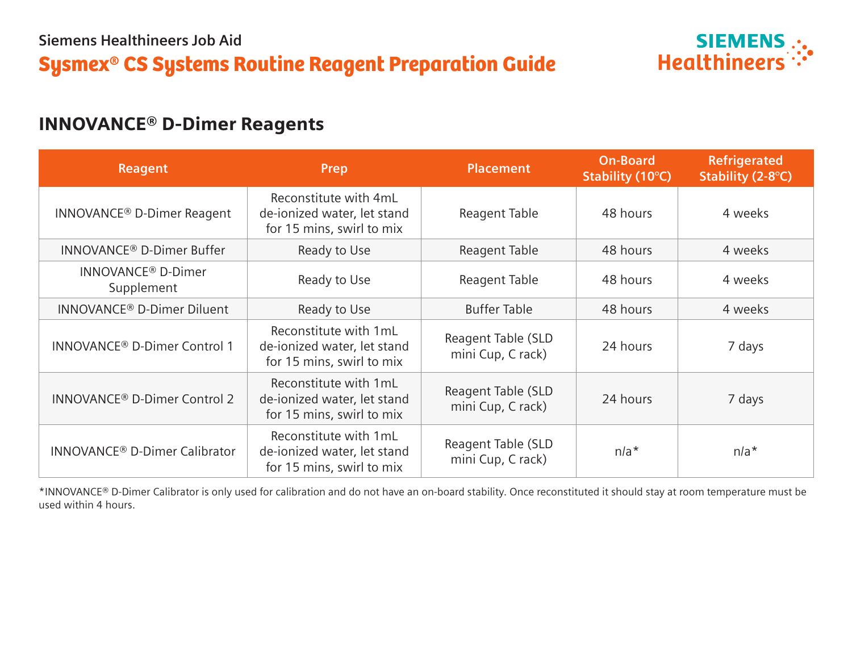

## INNOVANCE® D-Dimer Reagents

| Reagent                                            | Prep                                                                              | <b>Placement</b>                        | <b>On-Board</b><br>Stability (10°C) | <b>Refrigerated</b><br>Stability (2-8°C) |
|----------------------------------------------------|-----------------------------------------------------------------------------------|-----------------------------------------|-------------------------------------|------------------------------------------|
| INNOVANCE <sup>®</sup> D-Dimer Reagent             | Reconstitute with 4mL<br>de-ionized water, let stand<br>for 15 mins, swirl to mix | Reagent Table                           | 48 hours                            | 4 weeks                                  |
| INNOVANCE <sup>®</sup> D-Dimer Buffer              | Ready to Use                                                                      | Reagent Table                           |                                     | 4 weeks                                  |
| <b>INNOVANCE<sup>®</sup> D-Dimer</b><br>Supplement | Ready to Use                                                                      | Reagent Table                           | 48 hours                            | 4 weeks                                  |
| <b>INNOVANCE<sup>®</sup> D-Dimer Diluent</b>       | Ready to Use                                                                      | <b>Buffer Table</b>                     | 48 hours                            | 4 weeks                                  |
| INNOVANCE <sup>®</sup> D-Dimer Control 1           | Reconstitute with 1mL<br>de-ionized water, let stand<br>for 15 mins, swirl to mix | Reagent Table (SLD<br>mini Cup, C rack) | 24 hours                            | 7 days                                   |
| <b>INNOVANCE<sup>®</sup> D-Dimer Control 2</b>     | Reconstitute with 1mL<br>de-ionized water, let stand<br>for 15 mins, swirl to mix | Reagent Table (SLD<br>mini Cup, C rack) | 24 hours                            | 7 days                                   |
| <b>INNOVANCE<sup>®</sup> D-Dimer Calibrator</b>    | Reconstitute with 1mL<br>de-ionized water, let stand<br>for 15 mins, swirl to mix | Reagent Table (SLD<br>mini Cup, C rack) | $n/a*$                              | $n/a*$                                   |

\*INNOVANCE® D-Dimer Calibrator is only used for calibration and do not have an on-board stability. Once reconstituted it should stay at room temperature must be used within 4 hours.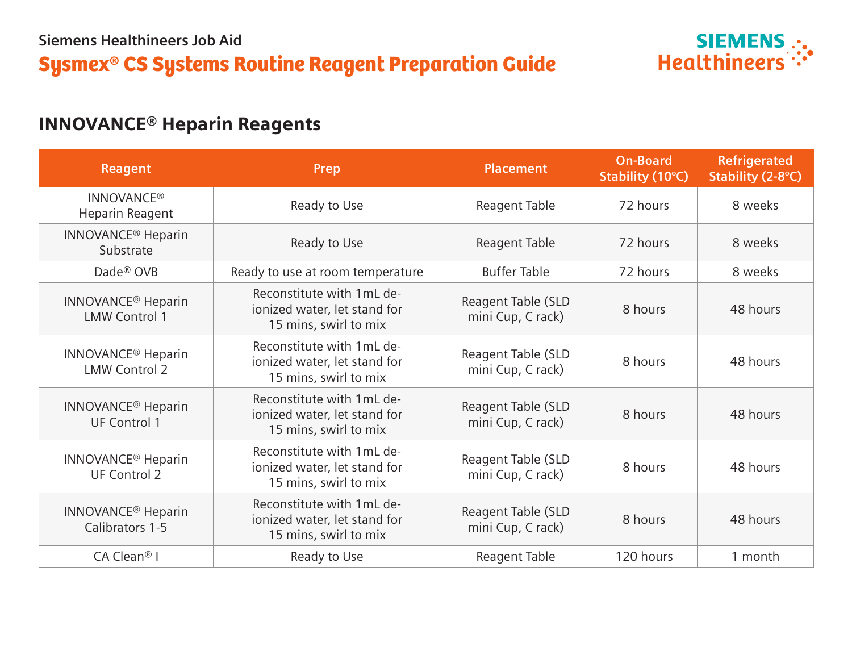

# INNOVANCE® Heparin Reagents

| Reagent                                                      | Prep                                                                               | <b>Placement</b>                        | <b>On-Board</b><br>Stability (10°C) | <b>Refrigerated</b><br>Stability (2-8°C) |
|--------------------------------------------------------------|------------------------------------------------------------------------------------|-----------------------------------------|-------------------------------------|------------------------------------------|
| <b>INNOVANCE®</b><br>Heparin Reagent                         | Ready to Use                                                                       | Reagent Table                           | 72 hours                            | 8 weeks                                  |
| <b>INNOVANCE<sup>®</sup></b> Heparin<br>Substrate            | Ready to Use                                                                       | Reagent Table                           | 72 hours                            | 8 weeks                                  |
| Dade <sup>®</sup> OVB                                        | Ready to use at room temperature                                                   | <b>Buffer Table</b>                     | 72 hours                            | 8 weeks                                  |
| <b>INNOVANCE<sup>®</sup></b> Heparin<br><b>LMW Control 1</b> | Reconstitute with 1mL de-<br>ionized water, let stand for<br>15 mins, swirl to mix | Reagent Table (SLD<br>mini Cup, C rack) | 8 hours                             | 48 hours                                 |
| <b>INNOVANCE<sup>®</sup></b> Heparin<br><b>LMW Control 2</b> | Reconstitute with 1mL de-<br>ionized water, let stand for<br>15 mins, swirl to mix | Reagent Table (SLD<br>mini Cup, C rack) | 8 hours                             | 48 hours                                 |
| <b>INNOVANCE<sup>®</sup></b> Heparin<br><b>UF Control 1</b>  | Reconstitute with 1mL de-<br>ionized water, let stand for<br>15 mins, swirl to mix | Reagent Table (SLD<br>mini Cup, C rack) | 8 hours                             | 48 hours                                 |
| <b>INNOVANCE<sup>®</sup></b> Heparin<br><b>UF Control 2</b>  | Reconstitute with 1mL de-<br>ionized water, let stand for<br>15 mins, swirl to mix | Reagent Table (SLD<br>mini Cup, C rack) | 8 hours                             | 48 hours                                 |
| <b>INNOVANCE<sup>®</sup></b> Heparin<br>Calibrators 1-5      | Reconstitute with 1mL de-<br>ionized water, let stand for<br>15 mins, swirl to mix | Reagent Table (SLD<br>mini Cup, C rack) | 8 hours                             | 48 hours                                 |
| $CA$ Clean <sup>®</sup> I                                    | Ready to Use                                                                       | Reagent Table                           | 120 hours                           | 1 month                                  |